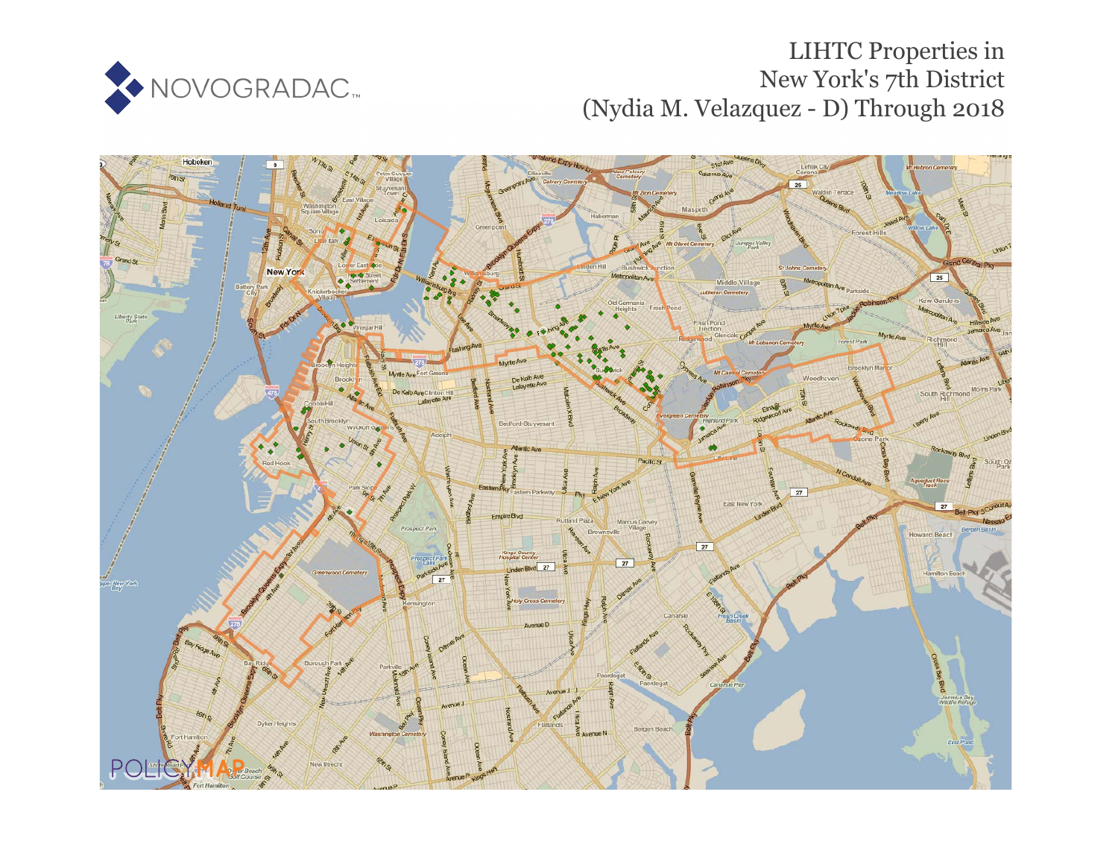

# LIHTC Properties in New York's 7th District (Nydia M. Velazquez - D) Through 2018

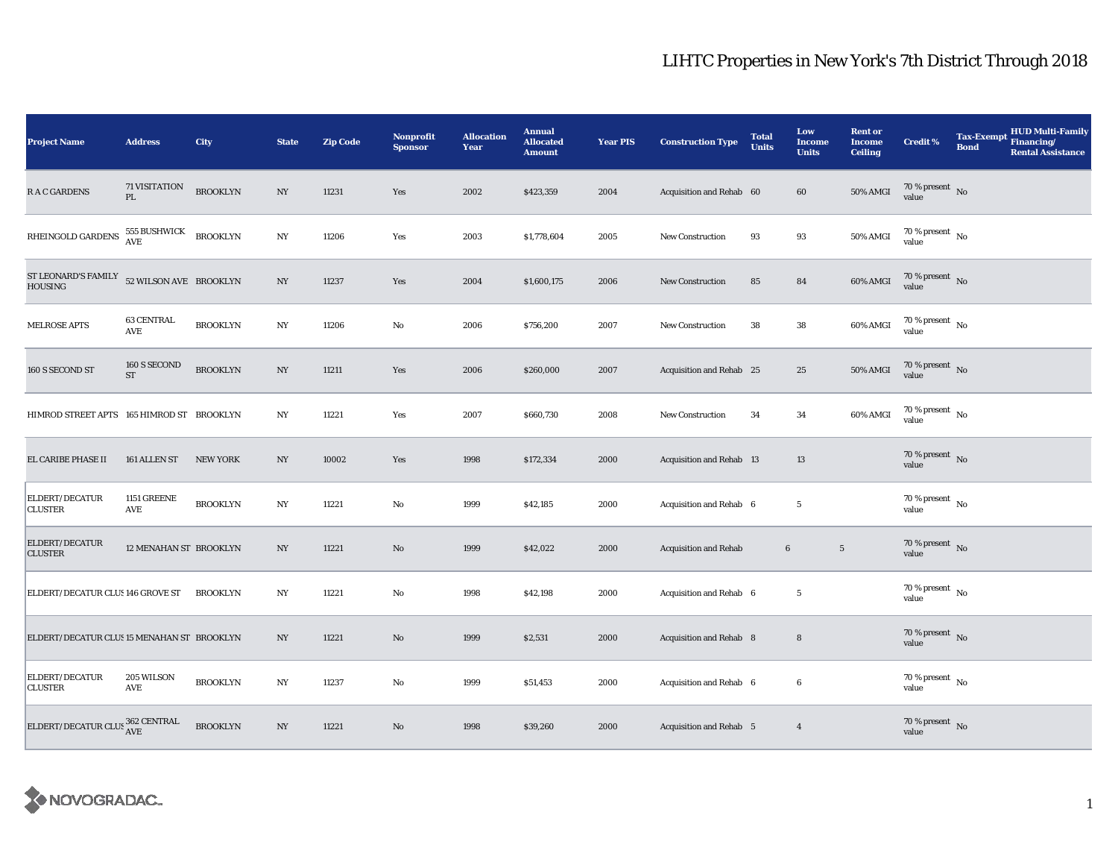| <b>Project Name</b>                        | <b>Address</b>            | City            | <b>State</b>     | <b>Zip Code</b> | <b>Nonprofit</b><br><b>Sponsor</b> | <b>Allocation</b><br>Year | <b>Annual</b><br><b>Allocated</b><br><b>Amount</b> | <b>Year PIS</b> | <b>Construction Type</b>     | <b>Total</b><br><b>Units</b> | Low<br><b>Income</b><br><b>Units</b> | <b>Rent or</b><br><b>Income</b><br><b>Ceiling</b> | <b>Credit %</b>                        | <b>Tax-Exempt</b><br><b>Bond</b> | HUD Multi-Family<br>Financing/<br><b>Rental Assistance</b> |
|--------------------------------------------|---------------------------|-----------------|------------------|-----------------|------------------------------------|---------------------------|----------------------------------------------------|-----------------|------------------------------|------------------------------|--------------------------------------|---------------------------------------------------|----------------------------------------|----------------------------------|------------------------------------------------------------|
| <b>RAC GARDENS</b>                         | 71 VISITATION<br>PL       | <b>BROOKLYN</b> | NY               | 11231           | Yes                                | 2002                      | \$423,359                                          | 2004            | Acquisition and Rehab 60     |                              | 60                                   | 50% AMGI                                          | $70\,\%$ present $\,$ No value         |                                  |                                                            |
| RHEINGOLD GARDENS                          | 555 BUSHWICK<br>AVE       | <b>BROOKLYN</b> | NY               | 11206           | Yes                                | 2003                      | \$1,778,604                                        | 2005            | New Construction             | 93                           | 93                                   | <b>50% AMGI</b>                                   | $70\,\%$ present $\,$ No $\,$<br>value |                                  |                                                            |
| ST LEONARD'S FAMILY<br><b>HOUSING</b>      | 52 WILSON AVE BROOKLYN    |                 | $_{\mathrm{NY}}$ | 11237           | Yes                                | 2004                      | \$1,600,175                                        | 2006            | New Construction             | 85                           | 84                                   | 60% AMGI                                          | $70\,\%$ present $$$ No value          |                                  |                                                            |
| <b>MELROSE APTS</b>                        | <b>63 CENTRAL</b><br>AVE  | <b>BROOKLYN</b> | NY               | 11206           | No                                 | 2006                      | \$756,200                                          | 2007            | New Construction             | 38                           | 38                                   | 60% AMGI                                          | 70 % present $\hbox{~No}$<br>value     |                                  |                                                            |
| 160 S SECOND ST                            | 160 S SECOND<br><b>ST</b> | <b>BROOKLYN</b> | $_{\mathrm{NY}}$ | 11211           | Yes                                | 2006                      | \$260,000                                          | 2007            | Acquisition and Rehab 25     |                              | 25                                   | 50% AMGI                                          | 70 % present $\,$ No $\,$<br>value     |                                  |                                                            |
| HIMROD STREET APTS 165 HIMROD ST BROOKLYN  |                           |                 | NY               | 11221           | Yes                                | 2007                      | \$660,730                                          | 2008            | New Construction             | 34                           | 34                                   | 60% AMGI                                          | 70 % present $\hbox{~No}$<br>value     |                                  |                                                            |
| EL CARIBE PHASE II                         | 161 ALLEN ST              | <b>NEW YORK</b> | $_{\mathrm{NY}}$ | 10002           | Yes                                | 1998                      | \$172,334                                          | 2000            | Acquisition and Rehab 13     |                              | $13\,$                               |                                                   | $70\,\%$ present $${\rm No}$$ value    |                                  |                                                            |
| ELDERT/DECATUR<br><b>CLUSTER</b>           | 1151 GREENE<br>AVE        | <b>BROOKLYN</b> | $_{\mathrm{NY}}$ | 11221           | No                                 | 1999                      | \$42,185                                           | 2000            | Acquisition and Rehab 6      |                              | $\overline{5}$                       |                                                   | $70\%$ present $\hbox{No}$<br>value    |                                  |                                                            |
| ELDERT/DECATUR<br><b>CLUSTER</b>           | 12 MENAHAN ST BROOKLYN    |                 | $_{\mathrm{NY}}$ | 11221           | $\mathbf{N}\mathbf{o}$             | 1999                      | \$42,022                                           | 2000            | <b>Acquisition and Rehab</b> | $\bf 6$                      | $5\phantom{.0}$                      |                                                   | 70 % present $\hbox{~No}$<br>value     |                                  |                                                            |
| ELDERT/DECATUR CLUS 146 GROVE ST           |                           | <b>BROOKLYN</b> | NY               | 11221           | No                                 | 1998                      | \$42,198                                           | 2000            | Acquisition and Rehab 6      |                              | $5\phantom{.0}$                      |                                                   | $70$ % present $\,$ No $\,$<br>value   |                                  |                                                            |
| ELDERT/DECATUR CLUS 15 MENAHAN ST BROOKLYN |                           |                 | $_{\mathrm{NY}}$ | 11221           | $\mathbf{N}\mathbf{o}$             | 1999                      | \$2,531                                            | 2000            | Acquisition and Rehab 8      |                              | 8                                    |                                                   | 70 % present $\,$ No $\,$<br>value     |                                  |                                                            |
| ELDERT/DECATUR<br><b>CLUSTER</b>           | 205 WILSON<br>AVE         | <b>BROOKLYN</b> | $_{\mathrm{NY}}$ | 11237           | No                                 | 1999                      | \$51,453                                           | 2000            | Acquisition and Rehab 6      |                              | $6\phantom{.0}$                      |                                                   | $70$ % present $\,$ No $\,$<br>value   |                                  |                                                            |
| ELDERT/DECATUR CLUS 362 CENTRAL            |                           | <b>BROOKLYN</b> | NY               | 11221           | $\mathbf{N}\mathbf{o}$             | 1998                      | \$39,260                                           | 2000            | Acquisition and Rehab 5      |                              | $\overline{4}$                       |                                                   | $70\,\%$ present $${\rm No}$$ value    |                                  |                                                            |

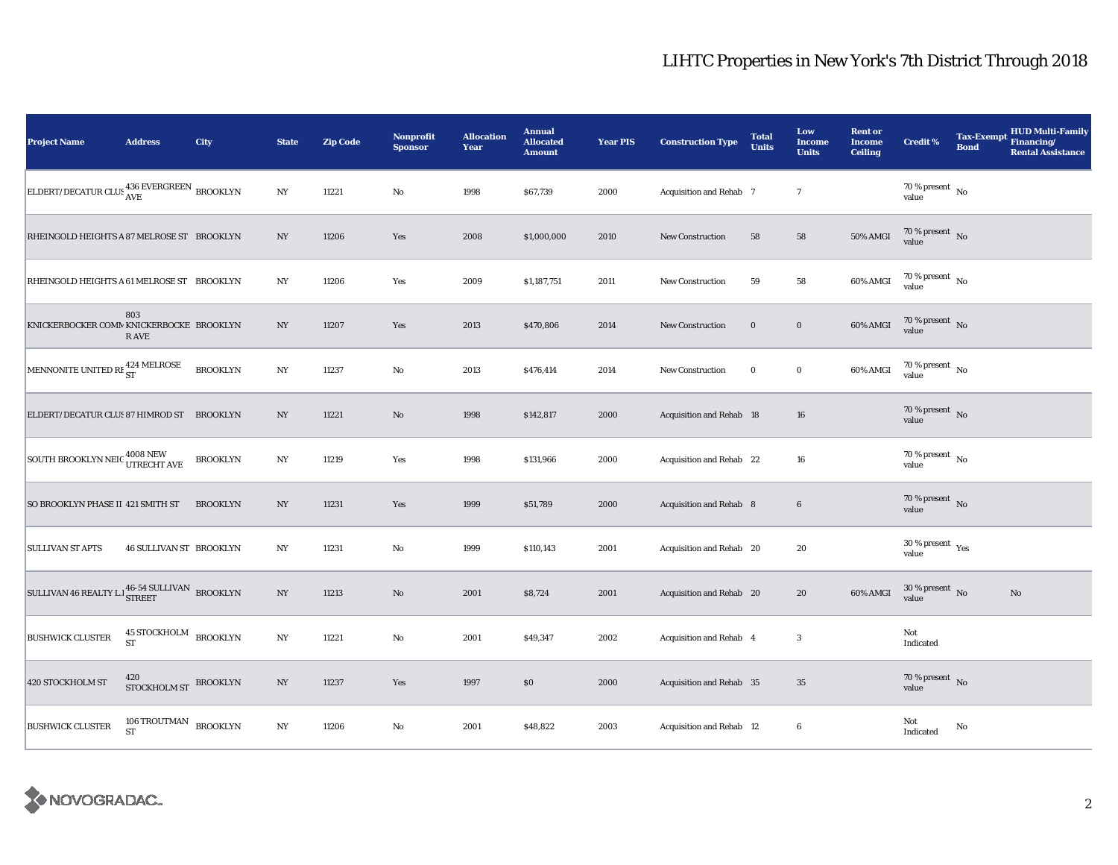| Project Name                                                                             | <b>Address</b>                                | City            | <b>State</b>     | <b>Zip Code</b> | <b>Nonprofit</b><br><b>Sponsor</b> | <b>Allocation</b><br>Year | <b>Annual</b><br><b>Allocated</b><br><b>Amount</b> | <b>Year PIS</b> | <b>Construction Type</b>        | <b>Total</b><br><b>Units</b> | Low<br><b>Income</b><br><b>Units</b> | <b>Rent or</b><br><b>Income</b><br><b>Ceiling</b> | <b>Credit %</b>                          | <b>Tax-Exempt</b><br><b>Bond</b> | <b>HUD Multi-Family</b><br>Financing/<br><b>Rental Assistance</b> |
|------------------------------------------------------------------------------------------|-----------------------------------------------|-----------------|------------------|-----------------|------------------------------------|---------------------------|----------------------------------------------------|-----------------|---------------------------------|------------------------------|--------------------------------------|---------------------------------------------------|------------------------------------------|----------------------------------|-------------------------------------------------------------------|
| ELDERT/DECATUR CLUS AVE BROOKLYN                                                         |                                               |                 | NY               | 11221           | $\rm No$                           | 1998                      | \$67,739                                           | 2000            | Acquisition and Rehab 7         |                              | $\tau$                               |                                                   | 70 % present $\hbox{~No}$<br>value       |                                  |                                                                   |
| RHEINGOLD HEIGHTS A 87 MELROSE ST BROOKLYN                                               |                                               |                 | $_{\mathrm{NY}}$ | 11206           | Yes                                | 2008                      | \$1,000,000                                        | 2010            | <b>New Construction</b>         | 58                           | 58                                   | <b>50% AMGI</b>                                   | $70\,\%$ present $\,$ No $\,$<br>value   |                                  |                                                                   |
| RHEINGOLD HEIGHTS A 61 MELROSE ST BROOKLYN                                               |                                               |                 | NY               | 11206           | Yes                                | 2009                      | \$1,187,751                                        | 2011            | <b>New Construction</b>         | 59                           | 58                                   | 60% AMGI                                          | $70\,\%$ present $\,$ No value           |                                  |                                                                   |
| KNICKERBOCKER COMM KNICKERBOCKE BROOKLYN                                                 | 803<br>R AVE                                  |                 | NY               | 11207           | Yes                                | 2013                      | \$470,806                                          | 2014            | New Construction                | $\bf{0}$                     | $\boldsymbol{0}$                     | 60% AMGI                                          | $70\,\%$ present $\,$ No value           |                                  |                                                                   |
| MENNONITE UNITED RE 424 MELROSE                                                          |                                               | <b>BROOKLYN</b> | $_{\mathrm{NY}}$ | 11237           | No                                 | 2013                      | \$476,414                                          | 2014            | New Construction                | $\bf{0}$                     | $\mathbf 0$                          | 60% AMGI                                          | 70 % present $\hbox{~No}$<br>value       |                                  |                                                                   |
| ELDERT/DECATUR CLUS 87 HIMROD ST BROOKLYN                                                |                                               |                 | $_{\mathrm{NY}}$ | 11221           | $\rm No$                           | 1998                      | \$142,817                                          | 2000            | <b>Acquisition and Rehab 18</b> |                              | 16                                   |                                                   | 70 % present $\hbox{~No}$<br>value       |                                  |                                                                   |
| SOUTH BROOKLYN NEIC 4008 NEW UTRECHT AVE                                                 |                                               | <b>BROOKLYN</b> | $_{\mathrm{NY}}$ | 11219           | Yes                                | 1998                      | \$131,966                                          | 2000            | Acquisition and Rehab 22        |                              | 16                                   |                                                   | $70$ % present $\,$ No $\,$<br>value     |                                  |                                                                   |
| SO BROOKLYN PHASE II 421 SMITH ST                                                        |                                               | <b>BROOKLYN</b> | $_{\mathrm{NY}}$ | 11231           | Yes                                | 1999                      | \$51,789                                           | 2000            | Acquisition and Rehab 8         |                              | $\boldsymbol{6}$                     |                                                   | $70\,\%$ present $\,$ No value           |                                  |                                                                   |
| <b>SULLIVAN ST APTS</b>                                                                  | <b>46 SULLIVAN ST BROOKLYN</b>                |                 | NY               | 11231           | No                                 | 1999                      | \$110,143                                          | 2001            | Acquisition and Rehab 20        |                              | 20                                   |                                                   | $30\,\%$ present $\,$ $\rm Yes$<br>value |                                  |                                                                   |
| SULLIVAN 46 REALTY L.<br>l $\frac{46\text{-}54 \text{ SULLIVAN}}{\text{STREF}}$ BROOKLYN |                                               |                 | $_{\mathrm{NY}}$ | 11213           | $\rm No$                           | 2001                      | \$8,724                                            | 2001            | Acquisition and Rehab 20        |                              | 20                                   | 60% AMGI                                          | $30\,\%$ present $\,$ No value           |                                  | $\rm No$                                                          |
| <b>BUSHWICK CLUSTER</b>                                                                  | $45$ STOCKHOLM $_{\rm BROOKLYN}$<br><b>ST</b> |                 | NY               | 11221           | No                                 | 2001                      | \$49,347                                           | 2002            | Acquisition and Rehab 4         |                              | $\boldsymbol{3}$                     |                                                   | Not<br>Indicated                         |                                  |                                                                   |
| 420 STOCKHOLM ST                                                                         | 420<br>STOCKHOLM ST BROOKLYN                  |                 | $_{\mathrm{NY}}$ | 11237           | Yes                                | 1997                      | \$0                                                | 2000            | Acquisition and Rehab 35        |                              | 35                                   |                                                   | 70 % present $\,$ No $\,$<br>value       |                                  |                                                                   |
| <b>BUSHWICK CLUSTER</b>                                                                  | 106 TROUTMAN BROOKLYN<br><b>ST</b>            |                 | $_{\mathrm{NY}}$ | 11206           | $\rm No$                           | 2001                      | \$48,822                                           | 2003            | Acquisition and Rehab 12        |                              | $\boldsymbol{6}$                     |                                                   | Not<br>Indicated                         | No                               |                                                                   |

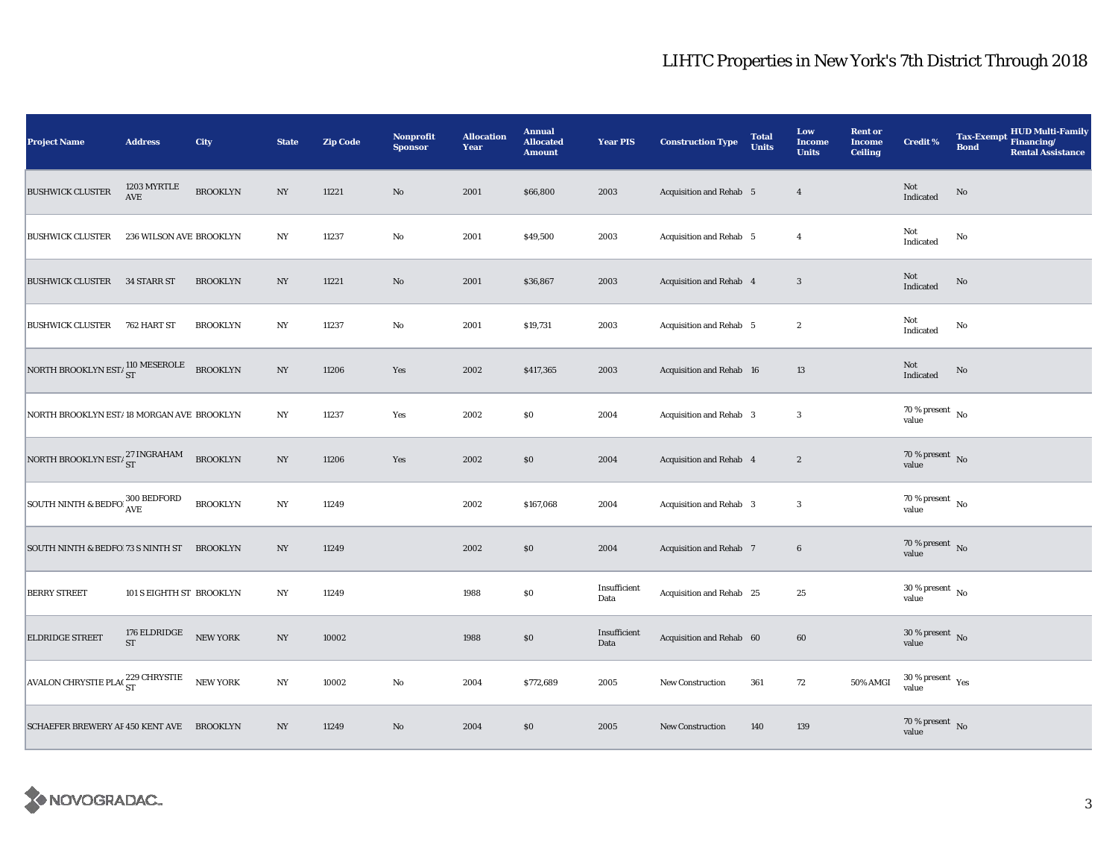| <b>Project Name</b>                                            | <b>Address</b>                      | City            | <b>State</b>     | <b>Zip Code</b> | Nonprofit<br><b>Sponsor</b> | <b>Allocation</b><br>Year | <b>Annual</b><br><b>Allocated</b><br><b>Amount</b> | <b>Year PIS</b>      | <b>Construction Type</b>       | <b>Total</b><br><b>Units</b> | Low<br>Income<br><b>Units</b> | <b>Rent or</b><br><b>Income</b><br><b>Ceiling</b> | Credit %                               | <b>Bond</b> | Tax-Exempt HUD Multi-Family<br><b>Rental Assistance</b> |
|----------------------------------------------------------------|-------------------------------------|-----------------|------------------|-----------------|-----------------------------|---------------------------|----------------------------------------------------|----------------------|--------------------------------|------------------------------|-------------------------------|---------------------------------------------------|----------------------------------------|-------------|---------------------------------------------------------|
| <b>BUSHWICK CLUSTER</b>                                        | 1203 MYRTLE<br>$\operatorname{AVE}$ | <b>BROOKLYN</b> | $_{\mathrm{NY}}$ | 11221           | No                          | 2001                      | \$66,800                                           | 2003                 | Acquisition and Rehab 5        |                              | $\overline{4}$                |                                                   | Not<br>Indicated                       | $\rm No$    |                                                         |
| <b>BUSHWICK CLUSTER</b>                                        | 236 WILSON AVE BROOKLYN             |                 | $_{\mathrm{NY}}$ | 11237           | No                          | 2001                      | \$49,500                                           | 2003                 | Acquisition and Rehab 5        |                              | $\overline{4}$                |                                                   | Not<br>Indicated                       | No          |                                                         |
| <b>BUSHWICK CLUSTER</b>                                        | 34 STARR ST                         | <b>BROOKLYN</b> | NY               | 11221           | No                          | 2001                      | \$36,867                                           | 2003                 | Acquisition and Rehab 4        |                              | $\boldsymbol{3}$              |                                                   | $\operatorname{\bf Not}$<br>Indicated  | No          |                                                         |
| <b>BUSHWICK CLUSTER</b>                                        | 762 HART ST                         | <b>BROOKLYN</b> | NY               | 11237           | No                          | 2001                      | \$19,731                                           | 2003                 | Acquisition and Rehab 5        |                              | $\boldsymbol{2}$              |                                                   | Not<br>Indicated                       | No          |                                                         |
| NORTH BROOKLYN $\mathrm{EST}/\frac{110}{\mathrm{ST}}$ MESEROLE |                                     | <b>BROOKLYN</b> | $_{\mathrm{NY}}$ | 11206           | Yes                         | 2002                      | \$417,365                                          | 2003                 | Acquisition and Rehab 16       |                              | 13                            |                                                   | Not<br>Indicated                       | $\rm No$    |                                                         |
| NORTH BROOKLYN EST/18 MORGAN AVE BROOKLYN                      |                                     |                 | $_{\mathrm{NY}}$ | 11237           | Yes                         | 2002                      | $\$0$                                              | 2004                 | Acquisition and Rehab 3        |                              | $\sqrt{3}$                    |                                                   | 70 % present $\hbox{~No}$<br>value     |             |                                                         |
| NORTH BROOKLYN EST/ $_{ST}^{27}$ INGRAHAM                      |                                     | <b>BROOKLYN</b> | NY               | 11206           | Yes                         | 2002                      | \$0                                                | 2004                 | Acquisition and Rehab 4        |                              | $\boldsymbol{2}$              |                                                   | $70\,\%$ present $\,$ No value         |             |                                                         |
| SOUTH NINTH & BEDFO! 300 BEDFORD                               |                                     | <b>BROOKLYN</b> | $_{\mathrm{NY}}$ | 11249           |                             | 2002                      | \$167,068                                          | 2004                 | Acquisition and Rehab 3        |                              | $\boldsymbol{3}$              |                                                   | $70\,\%$ present $\,$ No value         |             |                                                         |
| SOUTH NINTH & BEDFO 73 S NINTH ST BROOKLYN                     |                                     |                 | $_{\mathrm{NY}}$ | 11249           |                             | 2002                      | $\$0$                                              | 2004                 | <b>Acquisition and Rehab 7</b> |                              | $\bf{6}$                      |                                                   | 70 % present $\,$ No $\,$<br>value     |             |                                                         |
| <b>BERRY STREET</b>                                            | 101 S EIGHTH ST BROOKLYN            |                 | NY               | 11249           |                             | 1988                      | $\$0$                                              | Insufficient<br>Data | Acquisition and Rehab 25       |                              | 25                            |                                                   | $30\,\%$ present $\,$ No $\,$<br>value |             |                                                         |
| ELDRIDGE STREET                                                | 176 ELDRIDGE<br><b>ST</b>           | NEW YORK        | $_{\mathrm{NY}}$ | 10002           |                             | 1988                      | $\$0$                                              | Insufficient<br>Data | Acquisition and Rehab 60       |                              | 60                            |                                                   | $30\,\%$ present $\,$ No value         |             |                                                         |
| AVALON CHRYSTIE PLACE 229 CHRYSTIE                             |                                     | NEW YORK        | $_{\mathrm{NY}}$ | 10002           | No                          | 2004                      | \$772,689                                          | 2005                 | New Construction               | 361                          | 72                            | 50% AMGI                                          | $30\,\%$ present $\,$ Yes value        |             |                                                         |
| SCHAEFER BREWERY AF 450 KENT AVE BROOKLYN                      |                                     |                 | NY               | 11249           | No                          | 2004                      | \$0\$                                              | 2005                 | New Construction               | 140                          | 139                           |                                                   | $70\,\%$ present $\,$ No value         |             |                                                         |

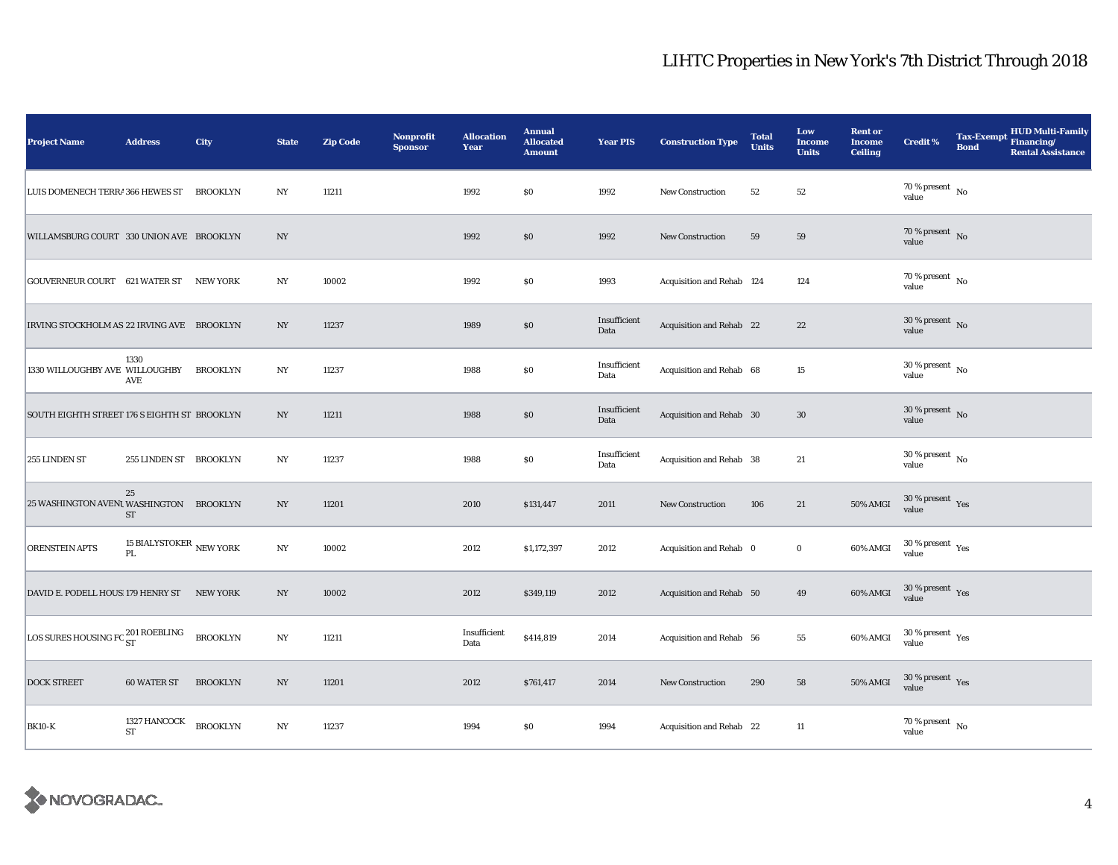| <b>Project Name</b>                                    | <b>Address</b>                                              | <b>City</b>     | <b>State</b>     | <b>Zip Code</b> | Nonprofit<br><b>Sponsor</b> | <b>Allocation</b><br>Year | <b>Annual</b><br><b>Allocated</b><br><b>Amount</b> | <b>Year PIS</b>      | <b>Construction Type</b>  | <b>Total</b><br><b>Units</b> | Low<br><b>Income</b><br><b>Units</b> | <b>Rent or</b><br><b>Income</b><br><b>Ceiling</b> | <b>Credit %</b>                                       | Tax-Exempt Financing/<br><b>Bond</b> | <b>HUD Multi-Family</b><br><b>Rental Assistance</b> |
|--------------------------------------------------------|-------------------------------------------------------------|-----------------|------------------|-----------------|-----------------------------|---------------------------|----------------------------------------------------|----------------------|---------------------------|------------------------------|--------------------------------------|---------------------------------------------------|-------------------------------------------------------|--------------------------------------|-----------------------------------------------------|
| LUIS DOMENECH TERRA 366 HEWES ST                       |                                                             | <b>BROOKLYN</b> | N <sub>Y</sub>   | 11211           |                             | 1992                      | \$0                                                | 1992                 | <b>New Construction</b>   | 52                           | 52                                   |                                                   | 70 % present $\hbox{~No}$<br>value                    |                                      |                                                     |
| WILLAMSBURG COURT 330 UNION AVE BROOKLYN               |                                                             |                 | NY               |                 |                             | 1992                      | \$0                                                | 1992                 | <b>New Construction</b>   | 59                           | 59                                   |                                                   | 70 % present $\overline{N_0}$<br>value                |                                      |                                                     |
| GOUVERNEUR COURT 621 WATER ST NEW YORK                 |                                                             |                 | NY               | 10002           |                             | 1992                      | \$0                                                | 1993                 | Acquisition and Rehab 124 |                              | 124                                  |                                                   | 70 % present $\hbox{~No}$<br>value                    |                                      |                                                     |
| IRVING STOCKHOLM AS 22 IRVING AVE BROOKLYN             |                                                             |                 | NY               | 11237           |                             | 1989                      | \$0                                                | Insufficient<br>Data | Acquisition and Rehab 22  |                              | 22                                   |                                                   | $30\,\%$ present $\,$ No value                        |                                      |                                                     |
| 1330 WILLOUGHBY AVE WILLOUGHBY                         | 1330<br>AVE                                                 | <b>BROOKLYN</b> | NY               | 11237           |                             | 1988                      | \$0                                                | Insufficient<br>Data | Acquisition and Rehab 68  |                              | 15                                   |                                                   | $30$ % present $\,$ No $\,$<br>value                  |                                      |                                                     |
| SOUTH EIGHTH STREET 176 S EIGHTH ST BROOKLYN           |                                                             |                 | $_{\mathrm{NY}}$ | 11211           |                             | 1988                      | \$0                                                | Insufficient<br>Data | Acquisition and Rehab 30  |                              | $30\,$                               |                                                   | $30\,\%$ present $\,$ No value                        |                                      |                                                     |
| 255 LINDEN ST                                          | 255 LINDEN ST BROOKLYN                                      |                 | $_{\mathrm{NY}}$ | 11237           |                             | 1988                      | $\$0$                                              | Insufficient<br>Data | Acquisition and Rehab 38  |                              | 21                                   |                                                   | $30\,\%$ present $\,$ No value                        |                                      |                                                     |
| 25 WASHINGTON AVENU WASHINGTON BROOKLYN                | 25<br>ST                                                    |                 | $_{\mathrm{NY}}$ | 11201           |                             | 2010                      | \$131,447                                          | 2011                 | <b>New Construction</b>   | 106                          | 21                                   | 50% AMGI                                          | $30\,\%$ present $\,$ Yes value                       |                                      |                                                     |
| <b>ORENSTEIN APTS</b>                                  | 15 BIALYSTOKER $_{\rm NEW\ YORK}$<br>$\mathbf{P}\mathbf{L}$ |                 | N <sub>Y</sub>   | 10002           |                             | 2012                      | \$1,172,397                                        | 2012                 | Acquisition and Rehab 0   |                              | $\bf{0}$                             | 60% AMGI                                          | $30\,\%$ present $\,$ $\rm Yes$<br>value              |                                      |                                                     |
| DAVID E. PODELL HOUS 179 HENRY ST NEW YORK             |                                                             |                 | NY               | 10002           |                             | 2012                      | \$349,119                                          | 2012                 | Acquisition and Rehab 50  |                              | 49                                   | 60% AMGI                                          | $30\,\%$ present $\,$ Yes value                       |                                      |                                                     |
| LOS SURES HOUSING FO $_{\rm ST}^{201\ {\rm ROEBLING}}$ |                                                             | <b>BROOKLYN</b> | NY               | 11211           |                             | Insufficient<br>Data      | \$414,819                                          | 2014                 | Acquisition and Rehab 56  |                              | 55                                   | 60% AMGI                                          | $30$ % present $\rm\thinspace\,Yes$<br>value          |                                      |                                                     |
| <b>DOCK STREET</b>                                     | <b>60 WATER ST</b>                                          | <b>BROOKLYN</b> | NY               | 11201           |                             | 2012                      | \$761,417                                          | 2014                 | New Construction          | 290                          | 58                                   | <b>50% AMGI</b>                                   | $30\,\%$ present $\,$ Yes value                       |                                      |                                                     |
| <b>BK10-K</b>                                          | 1327 HANCOCK<br><b>ST</b>                                   | <b>BROOKLYN</b> | $_{\mathrm{NY}}$ | 11237           |                             | 1994                      | \$0                                                | 1994                 | Acquisition and Rehab 22  |                              | 11                                   |                                                   | $70\,\%$ present $\overline{\phantom{1}}$ No<br>value |                                      |                                                     |

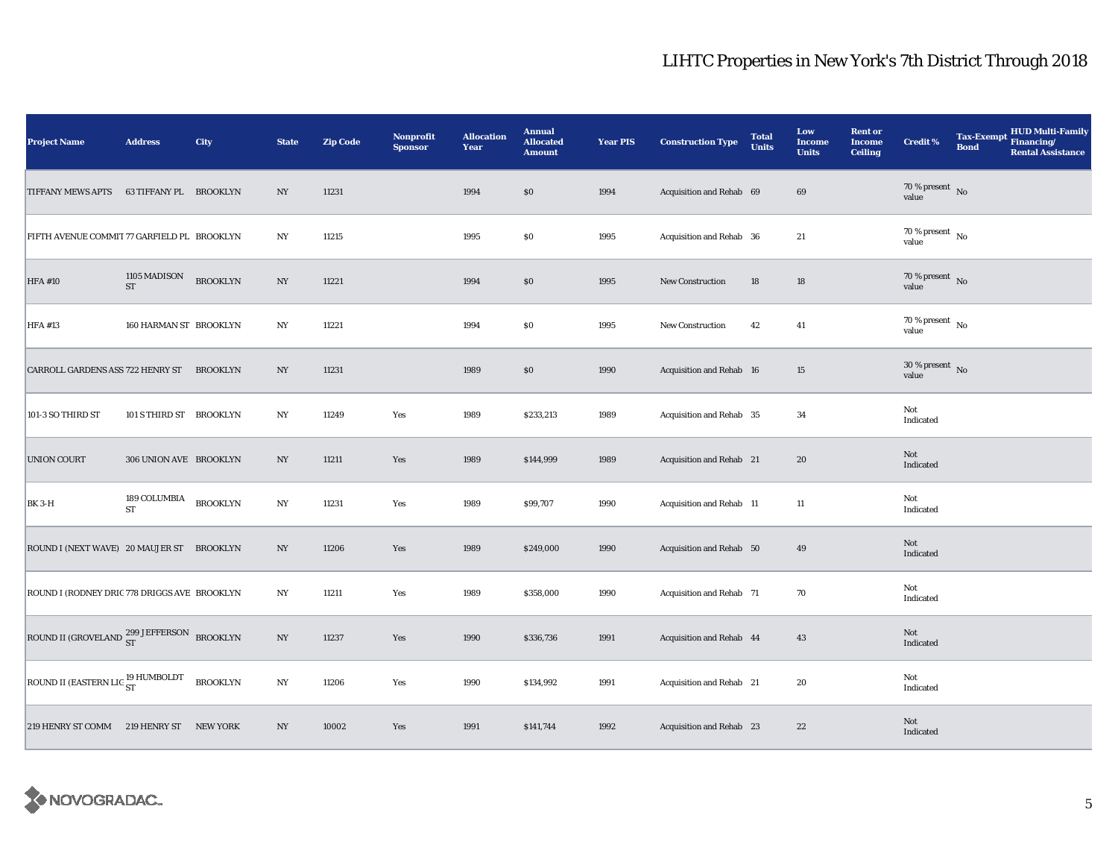| <b>Project Name</b>                                   | <b>Address</b>          | City            | <b>State</b>     | <b>Zip Code</b> | <b>Nonprofit</b><br><b>Sponsor</b> | <b>Allocation</b><br>Year | <b>Annual</b><br><b>Allocated</b><br><b>Amount</b> | <b>Year PIS</b> | <b>Construction Type</b> | <b>Total</b><br><b>Units</b> | Low<br><b>Income</b><br><b>Units</b> | <b>Rent or</b><br><b>Income</b><br><b>Ceiling</b> | <b>Credit %</b>                      | <b>Tax-Exempt</b><br><b>Bond</b> | HUD Multi-Family<br>Financing/<br><b>Rental Assistance</b> |
|-------------------------------------------------------|-------------------------|-----------------|------------------|-----------------|------------------------------------|---------------------------|----------------------------------------------------|-----------------|--------------------------|------------------------------|--------------------------------------|---------------------------------------------------|--------------------------------------|----------------------------------|------------------------------------------------------------|
| <b>TIFFANY MEWS APTS</b>                              | 63 TIFFANY PL BROOKLYN  |                 | NY               | 11231           |                                    | 1994                      | \$0                                                | 1994            | Acquisition and Rehab 69 |                              | 69                                   |                                                   | 70 % present $\hbox{~No}$<br>value   |                                  |                                                            |
| FIFTH AVENUE COMMIT 77 GARFIELD PL BROOKLYN           |                         |                 | $_{\mathrm{NY}}$ | 11215           |                                    | 1995                      | $\$0$                                              | 1995            | Acquisition and Rehab 36 |                              | 21                                   |                                                   | $70$ % present $\,$ No $\,$<br>value |                                  |                                                            |
| <b>HFA #10</b>                                        | 1105 MADISON<br>ST      | <b>BROOKLYN</b> | $_{\mathrm{NY}}$ | 11221           |                                    | 1994                      | $\$0$                                              | 1995            | <b>New Construction</b>  | 18                           | $18\,$                               |                                                   | $70\,\%$ present $\,$ No value       |                                  |                                                            |
| <b>HFA #13</b>                                        | 160 HARMAN ST BROOKLYN  |                 | NY               | 11221           |                                    | 1994                      | $\$0$                                              | 1995            | New Construction         | 42                           | 41                                   |                                                   | $70$ % present $\,$ No $\,$<br>value |                                  |                                                            |
| CARROLL GARDENS ASS 722 HENRY ST                      |                         | <b>BROOKLYN</b> | NY               | 11231           |                                    | 1989                      | $\$0$                                              | 1990            | Acquisition and Rehab 16 |                              | 15                                   |                                                   | $30\,\%$ present $\,$ No value       |                                  |                                                            |
| 101-3 SO THIRD ST                                     | 101 S THIRD ST BROOKLYN |                 | NY               | 11249           | Yes                                | 1989                      | \$233,213                                          | 1989            | Acquisition and Rehab 35 |                              | 34                                   |                                                   | Not<br>Indicated                     |                                  |                                                            |
| UNION COURT                                           | 306 UNION AVE BROOKLYN  |                 | NY               | 11211           | Yes                                | 1989                      | \$144,999                                          | 1989            | Acquisition and Rehab 21 |                              | 20                                   |                                                   | Not<br>Indicated                     |                                  |                                                            |
| <b>BK 3-H</b>                                         | 189 COLUMBIA<br>ST      | <b>BROOKLYN</b> | $_{\mathrm{NY}}$ | 11231           | Yes                                | 1989                      | \$99,707                                           | 1990            | Acquisition and Rehab 11 |                              | 11                                   |                                                   | Not<br>Indicated                     |                                  |                                                            |
| ROUND I (NEXT WAVE) 20 MAUJER ST BROOKLYN             |                         |                 | NY               | 11206           | Yes                                | 1989                      | \$249,000                                          | 1990            | Acquisition and Rehab 50 |                              | 49                                   |                                                   | Not<br>Indicated                     |                                  |                                                            |
| ROUND I (RODNEY DRIC 778 DRIGGS AVE BROOKLYN          |                         |                 | NY               | 11211           | Yes                                | 1989                      | \$358,000                                          | 1990            | Acquisition and Rehab 71 |                              | 70                                   |                                                   | Not<br>Indicated                     |                                  |                                                            |
| ROUND II (GROVELAND <sup>299 JEFFERSON</sup> BROOKLYN |                         |                 | NY               | 11237           | Yes                                | 1990                      | \$336,736                                          | 1991            | Acquisition and Rehab 44 |                              | 43                                   |                                                   | Not<br>Indicated                     |                                  |                                                            |
| ROUND II (EASTERN LIG <sup>19</sup> HUMBOLDT          |                         | <b>BROOKLYN</b> | $_{\mathrm{NY}}$ | 11206           | Yes                                | 1990                      | \$134,992                                          | 1991            | Acquisition and Rehab 21 |                              | $20\,$                               |                                                   | Not<br>Indicated                     |                                  |                                                            |
| 219 HENRY ST COMM 219 HENRY ST NEW YORK               |                         |                 | NY               | 10002           | Yes                                | 1991                      | \$141,744                                          | 1992            | Acquisition and Rehab 23 |                              | 22                                   |                                                   | Not<br>Indicated                     |                                  |                                                            |

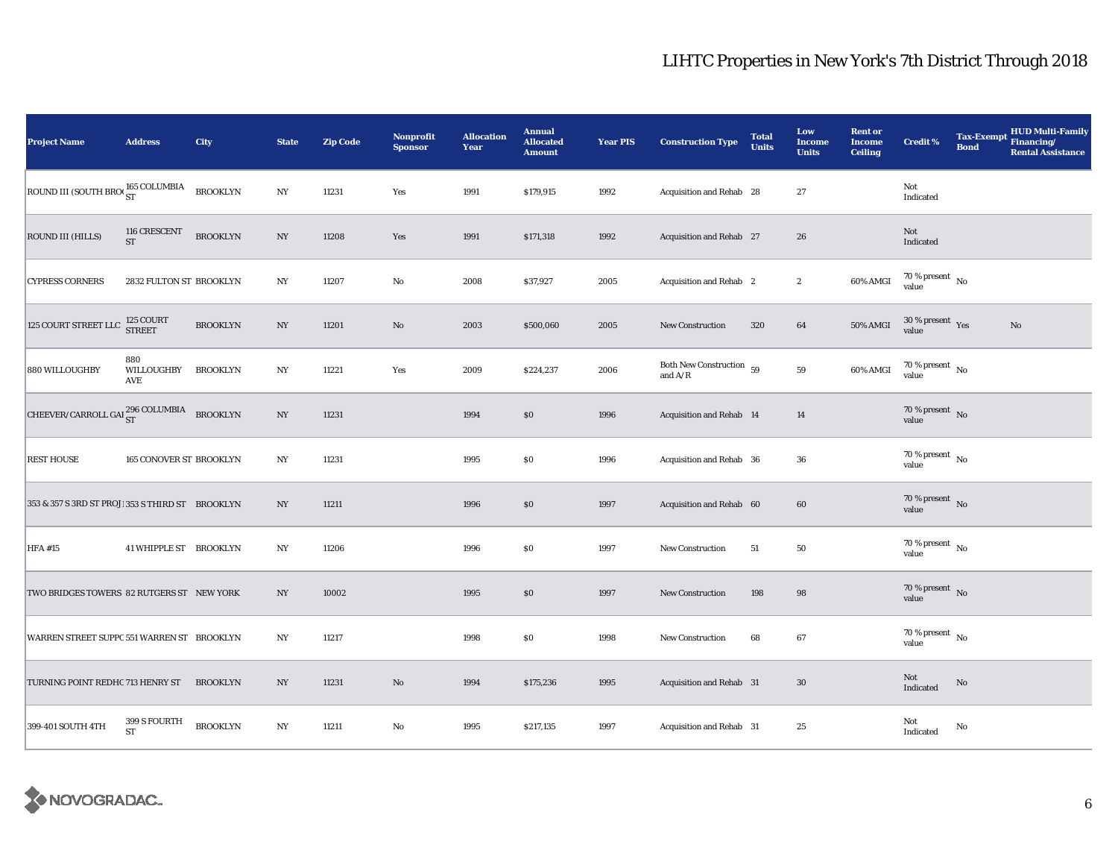| <b>Project Name</b>                                   | <b>Address</b>            | City            | <b>State</b>     | <b>Zip Code</b> | <b>Nonprofit</b><br><b>Sponsor</b> | <b>Allocation</b><br>Year | <b>Annual</b><br><b>Allocated</b><br><b>Amount</b> | <b>Year PIS</b> | <b>Construction Type</b>              | <b>Total</b><br><b>Units</b> | Low<br><b>Income</b><br><b>Units</b> | <b>Rent or</b><br><b>Income</b><br><b>Ceiling</b> | <b>Credit %</b>                      | <b>Bond</b> | <b>HUD Multi-Family</b><br>Tax-Exempt Financing/<br><b>Rental Assistance</b> |
|-------------------------------------------------------|---------------------------|-----------------|------------------|-----------------|------------------------------------|---------------------------|----------------------------------------------------|-----------------|---------------------------------------|------------------------------|--------------------------------------|---------------------------------------------------|--------------------------------------|-------------|------------------------------------------------------------------------------|
| ROUND III (SOUTH BRO $\frac{165}{\text{ST}}$ COLUMBIA |                           | <b>BROOKLYN</b> | $_{\mathrm{NY}}$ | 11231           | Yes                                | 1991                      | \$179,915                                          | 1992            | Acquisition and Rehab 28              |                              | 27                                   |                                                   | Not<br>Indicated                     |             |                                                                              |
| ROUND III (HILLS)                                     | 116 CRESCENT<br><b>ST</b> | <b>BROOKLYN</b> | $_{\mathrm{NY}}$ | 11208           | Yes                                | 1991                      | \$171,318                                          | 1992            | Acquisition and Rehab 27              |                              | 26                                   |                                                   | Not<br>Indicated                     |             |                                                                              |
| <b>CYPRESS CORNERS</b>                                | 2832 FULTON ST BROOKLYN   |                 | NY               | 11207           | $\rm No$                           | 2008                      | \$37,927                                           | 2005            | Acquisition and Rehab 2               |                              | $\boldsymbol{2}$                     | 60% AMGI                                          | $70$ % present $\,$ No $\,$<br>value |             |                                                                              |
| $125$ COURT STREET LLC                                | 125 COURT<br>STREET       | <b>BROOKLYN</b> | NY               | 11201           | $\mathbf{No}$                      | 2003                      | \$500,060                                          | 2005            | New Construction                      | 320                          | 64                                   | 50% AMGI                                          | $30\,\%$ present $\,$ Yes value      |             | $\rm No$                                                                     |
| 880 WILLOUGHBY                                        | 880<br>WILLOUGHBY<br>AVE  | <b>BROOKLYN</b> | NY               | 11221           | Yes                                | 2009                      | \$224,237                                          | 2006            | Both New Construction 59<br>and $A/R$ |                              | 59                                   | 60% AMGI                                          | 70 % present $\hbox{~No}$<br>value   |             |                                                                              |
| CHEEVER/CARROLL GAI $_{\rm ST}^{296}$ COLUMBIA        |                           | <b>BROOKLYN</b> | $_{\mathrm{NY}}$ | 11231           |                                    | 1994                      | \$0                                                | 1996            | Acquisition and Rehab 14              |                              | 14                                   |                                                   | 70 % present $\hbox{~No}$<br>value   |             |                                                                              |
| <b>REST HOUSE</b>                                     | 165 CONOVER ST BROOKLYN   |                 | NY               | 11231           |                                    | 1995                      | \$0                                                | 1996            | Acquisition and Rehab 36              |                              | 36                                   |                                                   | 70 % present $\hbox{~No}$<br>value   |             |                                                                              |
| 353 & 357 S 3RD ST PROJ! 353 S THIRD ST BROOKLYN      |                           |                 | $_{\mathrm{NY}}$ | 11211           |                                    | 1996                      | $\$0$                                              | 1997            | Acquisition and Rehab 60              |                              | $60\,$                               |                                                   | $70\,\%$ present $\,$ No value       |             |                                                                              |
| <b>HFA #15</b>                                        | 41 WHIPPLE ST BROOKLYN    |                 | NY               | 11206           |                                    | 1996                      | \$0                                                | 1997            | New Construction                      | 51                           | 50                                   |                                                   | $70$ % present $\,$ No $\,$<br>value |             |                                                                              |
| TWO BRIDGES TOWERS 82 RUTGERS ST NEW YORK             |                           |                 | NY               | 10002           |                                    | 1995                      | \$0                                                | 1997            | New Construction                      | 198                          | 98                                   |                                                   | 70 % present $\,$ No $\,$<br>value   |             |                                                                              |
| WARREN STREET SUPPC 551 WARREN ST BROOKLYN            |                           |                 | NY               | 11217           |                                    | 1998                      | \$0                                                | 1998            | New Construction                      | 68                           | 67                                   |                                                   | 70 % present $\hbox{~No}$<br>value   |             |                                                                              |
| TURNING POINT REDHC 713 HENRY ST                      |                           | <b>BROOKLYN</b> | $_{\mathrm{NY}}$ | 11231           | $\mathbf{No}$                      | 1994                      | \$175,236                                          | 1995            | Acquisition and Rehab 31              |                              | 30                                   |                                                   | Not<br>Indicated                     | No          |                                                                              |
| 399-401 SOUTH 4TH                                     | 399 S FOURTH<br>ST        | <b>BROOKLYN</b> | $_{\mathrm{NY}}$ | 11211           | $\mathbf{No}$                      | 1995                      | \$217,135                                          | 1997            | Acquisition and Rehab 31              |                              | 25                                   |                                                   | Not<br>Indicated                     | No          |                                                                              |

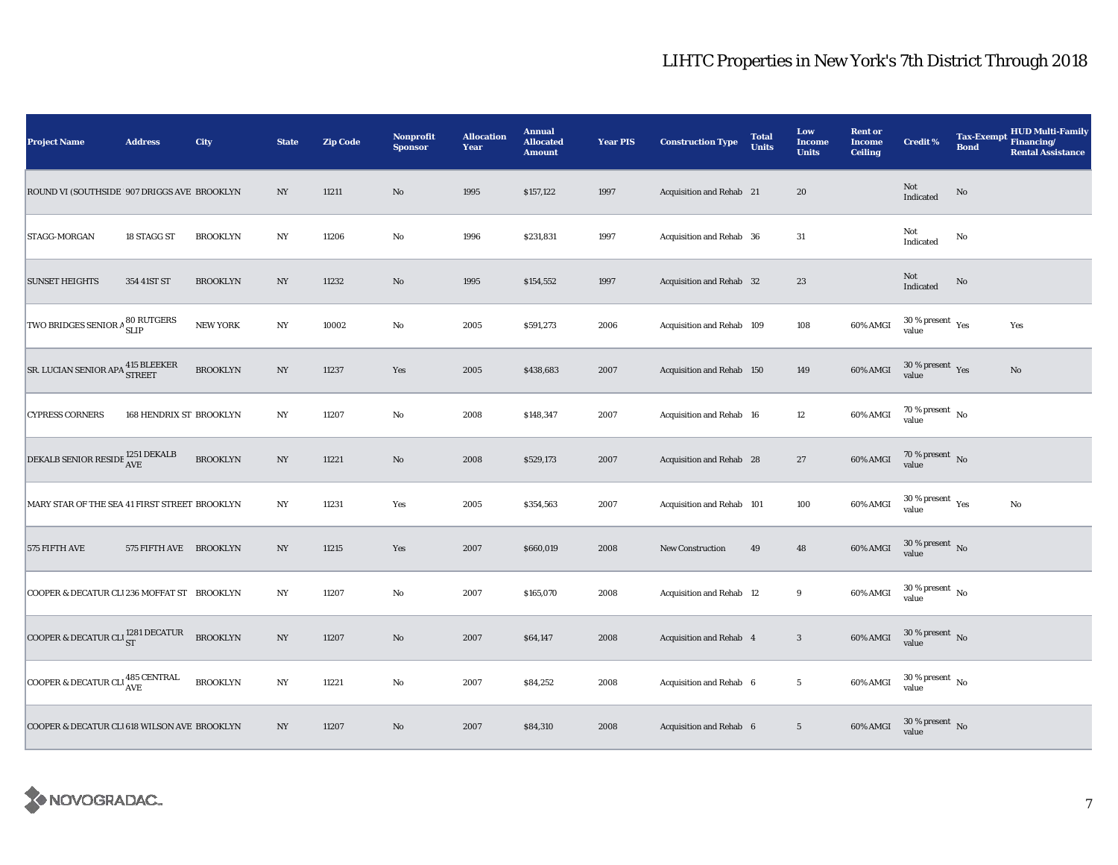| <b>Project Name</b>                           | <b>Address</b>          | City            | <b>State</b>     | <b>Zip Code</b> | <b>Nonprofit</b><br><b>Sponsor</b> | <b>Allocation</b><br>Year | <b>Annual</b><br><b>Allocated</b><br><b>Amount</b> | <b>Year PIS</b> | <b>Construction Type</b>  | <b>Total</b><br><b>Units</b> | Low<br><b>Income</b><br><b>Units</b> | <b>Rent or</b><br><b>Income</b><br><b>Ceiling</b> | <b>Credit %</b>                        | <b>Tax-Exempt</b><br><b>Bond</b> | HUD Multi-Family<br>Financing/<br><b>Rental Assistance</b> |
|-----------------------------------------------|-------------------------|-----------------|------------------|-----------------|------------------------------------|---------------------------|----------------------------------------------------|-----------------|---------------------------|------------------------------|--------------------------------------|---------------------------------------------------|----------------------------------------|----------------------------------|------------------------------------------------------------|
| ROUND VI (SOUTHSIDE 907 DRIGGS AVE BROOKLYN   |                         |                 | NY               | 11211           | $\rm No$                           | 1995                      | \$157,122                                          | 1997            | Acquisition and Rehab 21  |                              | 20                                   |                                                   | Not<br>Indicated                       | No                               |                                                            |
| STAGG-MORGAN                                  | 18 STAGG ST             | <b>BROOKLYN</b> | $_{\mathrm{NY}}$ | 11206           | $\mathbf {No}$                     | 1996                      | \$231,831                                          | 1997            | Acquisition and Rehab 36  |                              | 31                                   |                                                   | Not<br>Indicated                       | No                               |                                                            |
| <b>SUNSET HEIGHTS</b>                         | 354 41ST ST             | <b>BROOKLYN</b> | $_{\mathrm{NY}}$ | 11232           | $\rm No$                           | 1995                      | \$154,552                                          | 1997            | Acquisition and Rehab 32  |                              | $23\,$                               |                                                   | Not<br>Indicated                       | $\mathbf{No}$                    |                                                            |
| TWO BRIDGES SENIOR A SO RUTGERS               |                         | <b>NEW YORK</b> | NY               | 10002           | $\rm No$                           | 2005                      | \$591,273                                          | 2006            | Acquisition and Rehab 109 |                              | 108                                  | 60% AMGI                                          | $30$ % present $\,$ $\rm Yes$<br>value |                                  | Yes                                                        |
| SR. LUCIAN SENIOR APA 415 BLEEKER             |                         | <b>BROOKLYN</b> | NY               | 11237           | Yes                                | 2005                      | \$438,683                                          | 2007            | Acquisition and Rehab 150 |                              | 149                                  | 60% AMGI                                          | $30$ % present $\rm\,Yes$<br>value     |                                  | $\mathbf{No}$                                              |
| <b>CYPRESS CORNERS</b>                        | 168 HENDRIX ST BROOKLYN |                 | NY               | 11207           | No                                 | 2008                      | \$148,347                                          | 2007            | Acquisition and Rehab 16  |                              | 12                                   | 60% AMGI                                          | $70$ % present $\,$ No $\,$<br>value   |                                  |                                                            |
| DEKALB SENIOR RESIDE 1251 DEKALB              |                         | <b>BROOKLYN</b> | $_{\mathrm{NY}}$ | 11221           | $\rm No$                           | 2008                      | \$529,173                                          | 2007            | Acquisition and Rehab 28  |                              | $27\,$                               | 60% AMGI                                          | $70\,\%$ present $\,$ No value         |                                  |                                                            |
| MARY STAR OF THE SEA 41 FIRST STREET BROOKLYN |                         |                 | NY               | 11231           | Yes                                | 2005                      | \$354,563                                          | 2007            | Acquisition and Rehab 101 |                              | 100                                  | 60% AMGI                                          | $30\,\%$ present $\,$ Yes value        |                                  | No                                                         |
| 575 FIFTH AVE                                 | 575 FIFTH AVE BROOKLYN  |                 | NY               | 11215           | Yes                                | 2007                      | \$660,019                                          | 2008            | <b>New Construction</b>   | 49                           | 48                                   | 60% AMGI                                          | $30\,\%$ present $\,$ No $\,$<br>value |                                  |                                                            |
| COOPER & DECATUR CL1236 MOFFAT ST BROOKLYN    |                         |                 | NY               | 11207           | $\rm No$                           | 2007                      | \$165,070                                          | 2008            | Acquisition and Rehab 12  |                              | 9                                    | 60% AMGI                                          | $30\,\%$ present $\,$ No $\,$<br>value |                                  |                                                            |
| COOPER & DECATUR CLI 281 DECATUR              |                         | <b>BROOKLYN</b> | $_{\mathrm{NY}}$ | 11207           | $\rm No$                           | 2007                      | \$64,147                                           | 2008            | Acquisition and Rehab 4   |                              | $\sqrt{3}$                           | 60% AMGI                                          | $30$ % present $\,$ No $\,$<br>value   |                                  |                                                            |
| COOPER & DECATUR CLI 485 CENTRAL              |                         | <b>BROOKLYN</b> | $_{\mathrm{NY}}$ | 11221           | $\rm No$                           | 2007                      | \$84,252                                           | 2008            | Acquisition and Rehab 6   |                              | $\overline{5}$                       | 60% AMGI                                          | $30$ % present $\,$ No $\,$<br>value   |                                  |                                                            |
| COOPER & DECATUR CLI618 WILSON AVE BROOKLYN   |                         |                 | N <sub>Y</sub>   | 11207           | No                                 | 2007                      | \$84,310                                           | 2008            | Acquisition and Rehab 6   |                              | $5\phantom{.0}$                      | 60% AMGI                                          | $30\,\%$ present $\,$ No value         |                                  |                                                            |

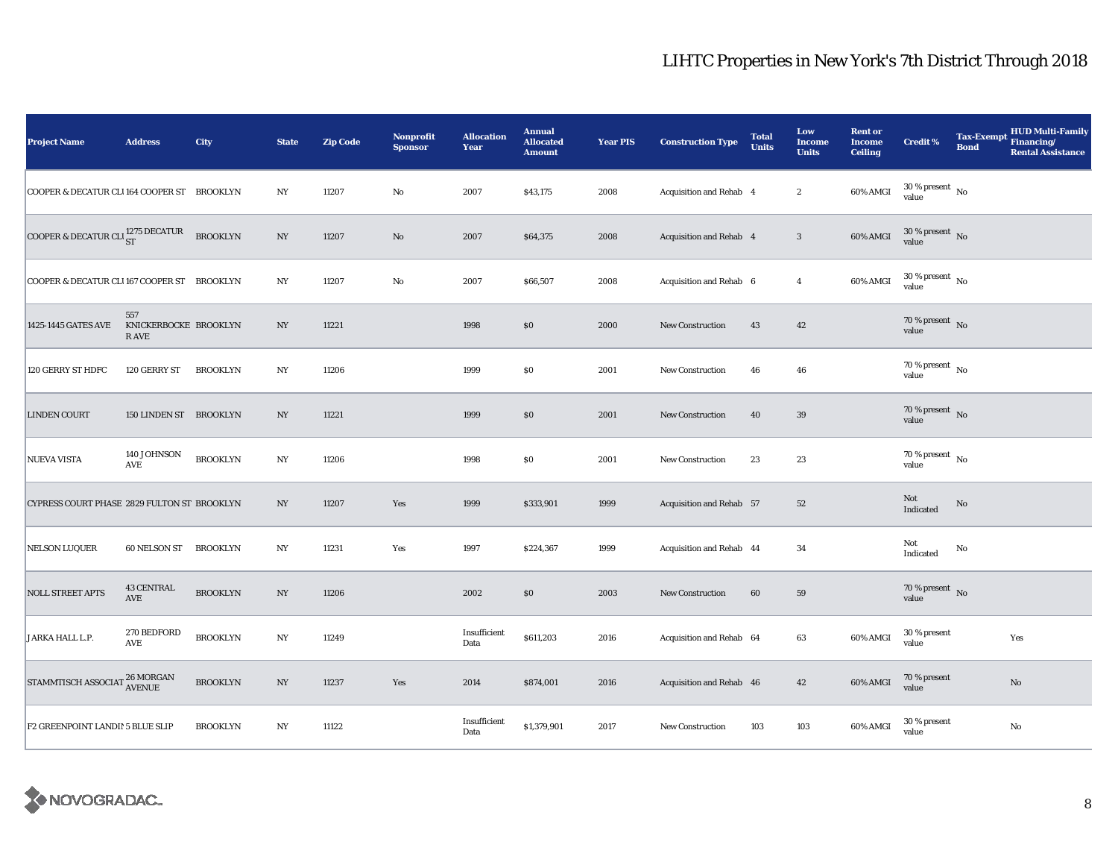| <b>Project Name</b>                         | <b>Address</b>                        | City            | <b>State</b>     | <b>Zip Code</b> | Nonprofit<br><b>Sponsor</b> | <b>Allocation</b><br>Year | <b>Annual</b><br><b>Allocated</b><br><b>Amount</b> | <b>Year PIS</b> | <b>Construction Type</b> | <b>Total</b><br><b>Units</b> | Low<br><b>Income</b><br><b>Units</b> | <b>Rent or</b><br><b>Income</b><br><b>Ceiling</b> | <b>Credit %</b>                      | <b>Tax-Exempt</b><br><b>Bond</b> | <b>HUD Multi-Family</b><br>Financing/<br><b>Rental Assistance</b> |
|---------------------------------------------|---------------------------------------|-----------------|------------------|-----------------|-----------------------------|---------------------------|----------------------------------------------------|-----------------|--------------------------|------------------------------|--------------------------------------|---------------------------------------------------|--------------------------------------|----------------------------------|-------------------------------------------------------------------|
| COOPER & DECATUR CLI164 COOPER ST BROOKLYN  |                                       |                 | $_{\mathrm{NY}}$ | 11207           | $\rm No$                    | 2007                      | \$43,175                                           | 2008            | Acquisition and Rehab 4  |                              | $\boldsymbol{2}$                     | 60% AMGI                                          | $30$ % present $\,$ No $\,$<br>value |                                  |                                                                   |
| COOPER & DECATUR CLI $_{ST}^{1275}$ DECATUR |                                       | <b>BROOKLYN</b> | NY               | 11207           | No                          | 2007                      | \$64,375                                           | 2008            | Acquisition and Rehab 4  |                              | $\mathbf{3}$                         | 60% AMGI                                          | 30 % present $\overline{N}$<br>value |                                  |                                                                   |
| COOPER & DECATUR CLI167 COOPER ST BROOKLYN  |                                       |                 | $_{\mathrm{NY}}$ | 11207           | $\rm No$                    | 2007                      | \$66,507                                           | 2008            | Acquisition and Rehab 6  |                              | $\overline{4}$                       | 60% AMGI                                          | $30\,\%$ present $\,$ No value       |                                  |                                                                   |
| 1425-1445 GATES AVE                         | 557<br>KNICKERBOCKE BROOKLYN<br>R AVE |                 | NY               | 11221           |                             | 1998                      | $\$0$                                              | 2000            | New Construction         | 43                           | 42                                   |                                                   | $70\,\%$ present $\,$ No value       |                                  |                                                                   |
| 120 GERRY ST HDFC                           | 120 GERRY ST                          | <b>BROOKLYN</b> | NY               | 11206           |                             | 1999                      | $\$0$                                              | 2001            | New Construction         | 46                           | 46                                   |                                                   | 70 % present $\hbox{~No}$<br>value   |                                  |                                                                   |
| <b>LINDEN COURT</b>                         | 150 LINDEN ST BROOKLYN                |                 | $_{\mathrm{NY}}$ | 11221           |                             | 1999                      | $\$0$                                              | 2001            | New Construction         | 40                           | $39\,$                               |                                                   | 70 % present No<br>value             |                                  |                                                                   |
| <b>NUEVA VISTA</b>                          | 140 JOHNSON<br>AVE                    | <b>BROOKLYN</b> | N <sub>Y</sub>   | 11206           |                             | 1998                      | \$0                                                | 2001            | New Construction         | 23                           | 23                                   |                                                   | 70 % present $\hbox{~No}$<br>value   |                                  |                                                                   |
| CYPRESS COURT PHASE 2829 FULTON ST BROOKLYN |                                       |                 | $_{\mathrm{NY}}$ | 11207           | Yes                         | 1999                      | \$333,901                                          | 1999            | Acquisition and Rehab 57 |                              | 52                                   |                                                   | Not<br>Indicated                     | No                               |                                                                   |
| <b>NELSON LUQUER</b>                        | 60 NELSON ST                          | <b>BROOKLYN</b> | N <sub>Y</sub>   | 11231           | Yes                         | 1997                      | \$224,367                                          | 1999            | Acquisition and Rehab 44 |                              | 34                                   |                                                   | Not<br>Indicated                     | No                               |                                                                   |
| <b>NOLL STREET APTS</b>                     | <b>43 CENTRAL</b><br><b>AVE</b>       | <b>BROOKLYN</b> | NY               | 11206           |                             | 2002                      | \$0                                                | 2003            | <b>New Construction</b>  | 60                           | 59                                   |                                                   | 70 % present $\hbox{~No}$<br>value   |                                  |                                                                   |
| JARKA HALL L.P.                             | 270 BEDFORD<br>AVE                    | <b>BROOKLYN</b> | $_{\mathrm{NY}}$ | 11249           |                             | Insufficient<br>Data      | \$611,203                                          | 2016            | Acquisition and Rehab 64 |                              | 63                                   | 60% AMGI                                          | 30 % present<br>value                |                                  | Yes                                                               |
| STAMMTISCH ASSOCIAT 26 MORGAN               |                                       | <b>BROOKLYN</b> | NY               | 11237           | Yes                         | 2014                      | \$874,001                                          | 2016            | Acquisition and Rehab 46 |                              | 42                                   | 60% AMGI                                          | 70 % present<br>value                |                                  | $\mathbf{No}$                                                     |
| F2 GREENPOINT LANDI! 5 BLUE SLIP            |                                       | <b>BROOKLYN</b> | NY               | 11122           |                             | Insufficient<br>Data      | \$1,379,901                                        | 2017            | New Construction         | 103                          | 103                                  | 60% AMGI                                          | 30 % present<br>value                |                                  | No                                                                |

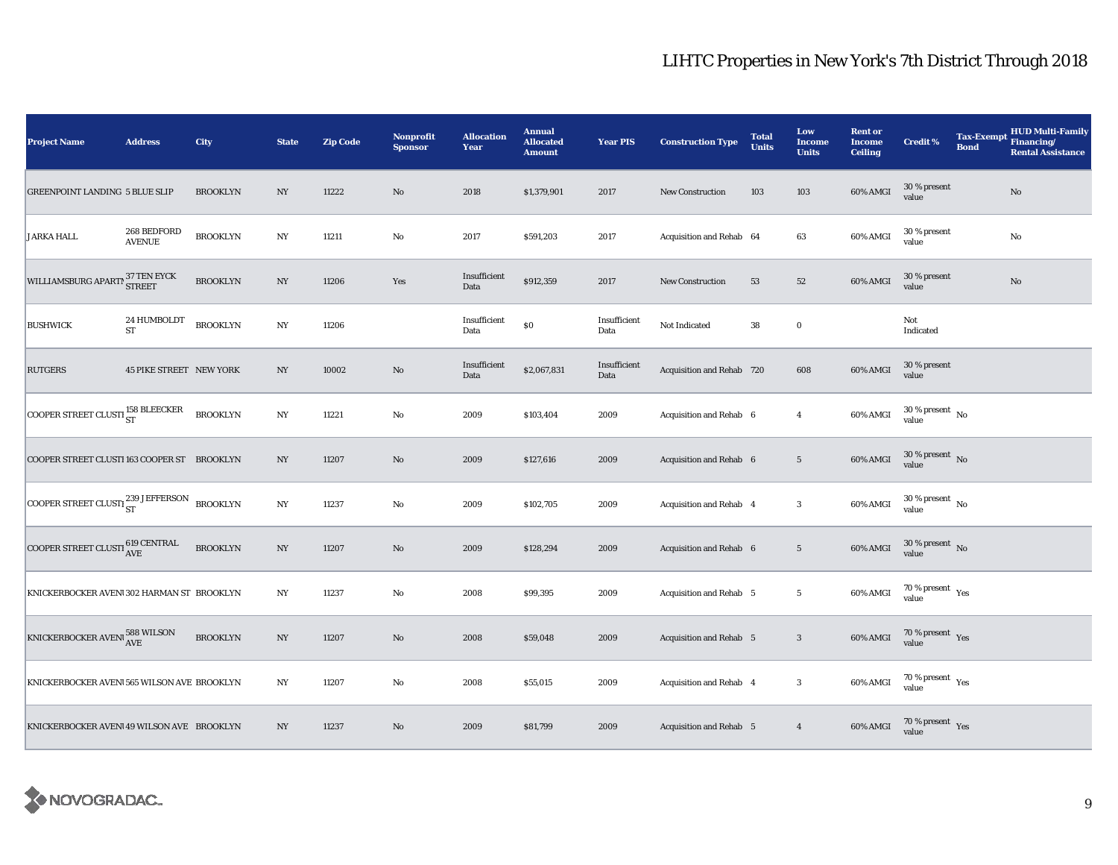| <b>Project Name</b>                                                                                                                  | <b>Address</b>                 | City            | <b>State</b>     | <b>Zip Code</b> | <b>Nonprofit</b><br><b>Sponsor</b> | <b>Allocation</b><br>Year | <b>Annual</b><br><b>Allocated</b><br><b>Amount</b> | <b>Year PIS</b>      | <b>Construction Type</b>       | <b>Total</b><br><b>Units</b> | Low<br>Income<br><b>Units</b> | <b>Rent or</b><br><b>Income</b><br><b>Ceiling</b> | <b>Credit %</b>                      | <b>Bond</b> | <b>HUD Multi-Family</b><br>Tax-Exempt Financing/<br><b>Rental Assistance</b> |
|--------------------------------------------------------------------------------------------------------------------------------------|--------------------------------|-----------------|------------------|-----------------|------------------------------------|---------------------------|----------------------------------------------------|----------------------|--------------------------------|------------------------------|-------------------------------|---------------------------------------------------|--------------------------------------|-------------|------------------------------------------------------------------------------|
| <b>GREENPOINT LANDING 5 BLUE SLIP</b>                                                                                                |                                | <b>BROOKLYN</b> | $_{\mathrm{NY}}$ | 11222           | $\rm\thinspace No$                 | 2018                      | \$1,379,901                                        | 2017                 | New Construction               | 103                          | $103\,$                       | 60% AMGI                                          | 30 % present<br>value                |             | No                                                                           |
| <b>JARKA HALL</b>                                                                                                                    | 268 BEDFORD<br><b>AVENUE</b>   | <b>BROOKLYN</b> | $_{\mathrm{NY}}$ | 11211           | $_{\rm No}$                        | 2017                      | \$591,203                                          | 2017                 | Acquisition and Rehab 64       |                              | $\bf{63}$                     | 60% AMGI                                          | 30 % present<br>value                |             | No                                                                           |
| WILLIAMSBURG APARTN STREET                                                                                                           |                                | <b>BROOKLYN</b> | $_{\mathrm{NY}}$ | 11206           | Yes                                | Insufficient<br>Data      | \$912,359                                          | 2017                 | New Construction               | 53                           | 52                            | 60% AMGI                                          | 30 % present<br>value                |             | $\rm No$                                                                     |
| <b>BUSHWICK</b>                                                                                                                      | 24 HUMBOLDT<br><b>ST</b>       | <b>BROOKLYN</b> | $_{\mathrm{NY}}$ | 11206           |                                    | Insufficient<br>Data      | $\$0$                                              | Insufficient<br>Data | Not Indicated                  | 38                           | $\mathbf 0$                   |                                                   | Not<br>Indicated                     |             |                                                                              |
| <b>RUTGERS</b>                                                                                                                       | <b>45 PIKE STREET NEW YORK</b> |                 | $_{\mathrm{NY}}$ | 10002           | $\rm No$                           | Insufficient<br>Data      | \$2,067,831                                        | Insufficient<br>Data | Acquisition and Rehab 720      |                              | 608                           | 60% AMGI                                          | 30 % present<br>value                |             |                                                                              |
| COOPER STREET CLUSTI $_{\rm ST}^{158}$ BLEECKER                                                                                      |                                | <b>BROOKLYN</b> | $_{\mathrm{NY}}$ | 11221           | $\mathbf{No}$                      | 2009                      | \$103,404                                          | 2009                 | Acquisition and Rehab 6        |                              | $\overline{4}$                | 60% AMGI                                          | $30$ % present $\,$ No $\,$<br>value |             |                                                                              |
| COOPER STREET CLUSTI 163 COOPER ST BROOKLYN                                                                                          |                                |                 | NY               | 11207           | $\rm No$                           | 2009                      | \$127,616                                          | 2009                 | Acquisition and Rehab 6        |                              | $\sqrt{5}$                    | 60% AMGI                                          | $30\,\%$ present $\,$ No value       |             |                                                                              |
|                                                                                                                                      |                                |                 | $_{\mathrm{NY}}$ | 11237           | $_{\rm No}$                        | 2009                      | \$102,705                                          | 2009                 | Acquisition and Rehab 4        |                              | $\bf 3$                       | 60% AMGI                                          | $30\,\%$ present $\,$ No value       |             |                                                                              |
| COOPER STREET CLUSTI $_{\rm AVE}^{619\rm~CENTRAL}$                                                                                   |                                | <b>BROOKLYN</b> | $_{\mathrm{NY}}$ | 11207           | No                                 | 2009                      | \$128,294                                          | 2009                 | Acquisition and Rehab 6        |                              | $\overline{5}$                | 60% AMGI                                          | $30\,\%$ present $\,$ No value       |             |                                                                              |
| KNICKERBOCKER AVENI 302 HARMAN ST BROOKLYN                                                                                           |                                |                 | NY               | 11237           | $\mathbf{No}$                      | 2008                      | \$99,395                                           | 2009                 | Acquisition and Rehab 5        |                              | $5\phantom{.0}$               | 60% AMGI                                          | $70\,\%$ present $\,$ Yes value      |             |                                                                              |
| $\begin{array}{ l } \hline \texttt{KNICKERBOCKER AVEN1} \, \textcolor{red}{\frac{588\text{ WILSON}}{\text{AVE}}} \hline \end{array}$ |                                | <b>BROOKLYN</b> | $_{\mathrm{NY}}$ | 11207           | $\rm No$                           | 2008                      | \$59,048                                           | 2009                 | <b>Acquisition and Rehab 5</b> |                              | $\bf{3}$                      | 60% AMGI                                          | $70\,\%$ present $\;\;$ Yes value    |             |                                                                              |
| KNICKERBOCKER AVENI 565 WILSON AVE BROOKLYN                                                                                          |                                |                 | $_{\mathrm{NY}}$ | 11207           | $\mathbf{No}$                      | 2008                      | \$55,015                                           | 2009                 | Acquisition and Rehab 4        |                              | $\bf{3}$                      | 60% AMGI                                          | $70\,\%$ present $\,$ Yes value      |             |                                                                              |
| KNICKERBOCKER AVENI 49 WILSON AVE BROOKLYN                                                                                           |                                |                 | N <sub>Y</sub>   | 11237           | $\rm No$                           | 2009                      | \$81,799                                           | 2009                 | Acquisition and Rehab 5        |                              | $\overline{4}$                | 60% AMGI                                          | $70\,\%$ present $\,$ Yes value      |             |                                                                              |

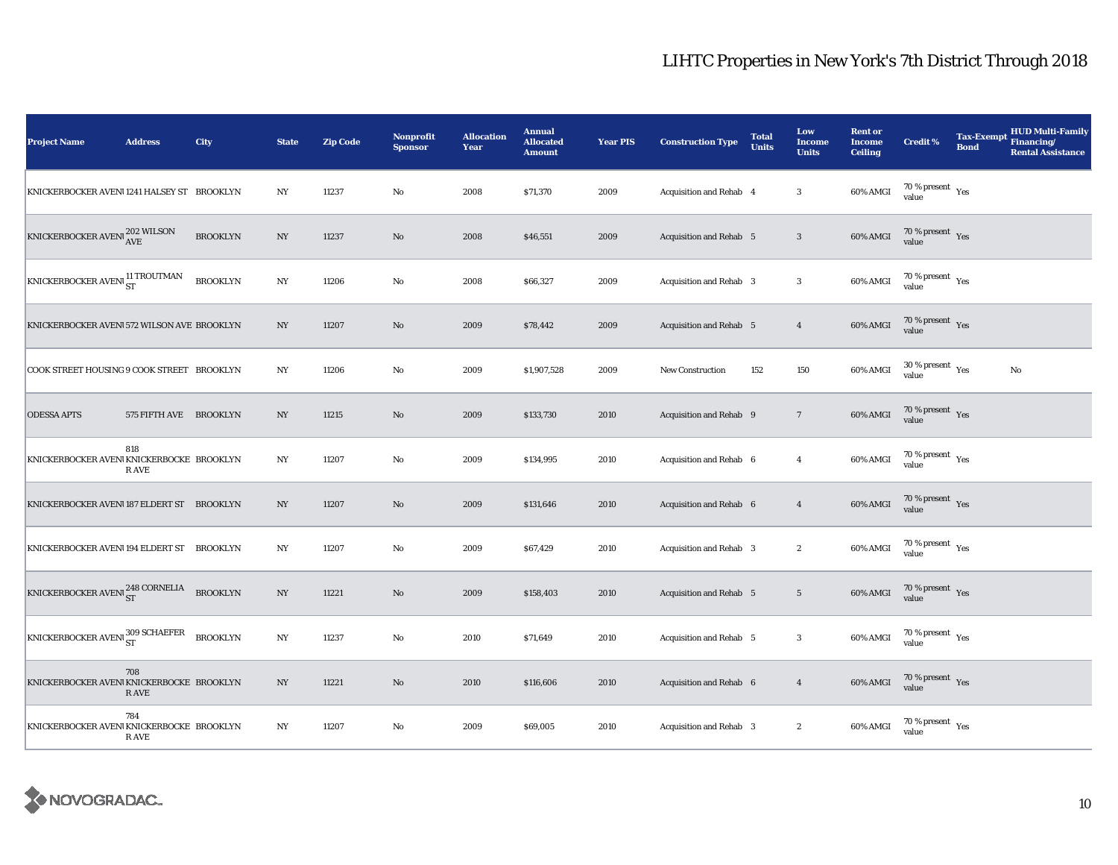| <b>Project Name</b>                                                                                 | <b>Address</b>         | City            | <b>State</b>     | <b>Zip Code</b> | Nonprofit<br><b>Sponsor</b> | <b>Allocation</b><br>Year | <b>Annual</b><br><b>Allocated</b><br><b>Amount</b> | <b>Year PIS</b> | <b>Construction Type</b>       | <b>Total</b><br><b>Units</b> | Low<br><b>Income</b><br><b>Units</b> | <b>Rent or</b><br><b>Income</b><br><b>Ceiling</b> | <b>Credit %</b>                             | <b>Bond</b> | <b>HUD Multi-Family</b><br>Tax-Exempt Financing/<br><b>Rental Assistance</b> |
|-----------------------------------------------------------------------------------------------------|------------------------|-----------------|------------------|-----------------|-----------------------------|---------------------------|----------------------------------------------------|-----------------|--------------------------------|------------------------------|--------------------------------------|---------------------------------------------------|---------------------------------------------|-------------|------------------------------------------------------------------------------|
| KNICKERBOCKER AVEN11241 HALSEY ST BROOKLYN                                                          |                        |                 | $_{\mathrm{NY}}$ | 11237           | $\rm\thinspace No$          | 2008                      | \$71,370                                           | 2009            | Acquisition and Rehab 4        |                              | $\boldsymbol{3}$                     | 60% AMGI                                          | $70\,\%$ present $\,$ Yes value             |             |                                                                              |
| $\begin{array}{ l } \hline \texttt{KNICKERBOCKER AVENI} ^{202 \text{ WILSON}}\\ \hline \end{array}$ |                        | <b>BROOKLYN</b> | $_{\mathrm{NY}}$ | 11237           | $\rm No$                    | 2008                      | \$46,551                                           | 2009            | Acquisition and Rehab 5        |                              | $\mathbf{3}$                         | 60% AMGI                                          | $70\,\%$ present $\;\;\chi_{\rm e s}$ value |             |                                                                              |
| KNICKERBOCKER AVENI <sup>11</sup> TROUTMAN                                                          |                        | <b>BROOKLYN</b> | $_{\mathrm{NY}}$ | 11206           | $\rm No$                    | 2008                      | \$66,327                                           | 2009            | Acquisition and Rehab 3        |                              | $\sqrt{3}$                           | 60% AMGI                                          | $70\,\%$ present $\,$ Yes value             |             |                                                                              |
| KNICKERBOCKER AVENI 572 WILSON AVE BROOKLYN                                                         |                        |                 | NY               | 11207           | $\rm No$                    | 2009                      | \$78,442                                           | 2009            | <b>Acquisition and Rehab 5</b> |                              | $\overline{4}$                       | 60% AMGI                                          | $70\,\%$ present $\;\;$ Yes value           |             |                                                                              |
| COOK STREET HOUSING 9 COOK STREET BROOKLYN                                                          |                        |                 | NY               | 11206           | $\rm No$                    | 2009                      | \$1,907,528                                        | 2009            | New Construction               | 152                          | 150                                  | 60% AMGI                                          | $30\,\%$ present $\,$ Yes value             |             | No                                                                           |
| <b>ODESSA APTS</b>                                                                                  | 575 FIFTH AVE BROOKLYN |                 | NY               | 11215           | No                          | 2009                      | \$133,730                                          | 2010            | Acquisition and Rehab 9        |                              | $\overline{7}$                       | 60% AMGI                                          | $70\,\%$ present $\;\;\chi_{\rm e s}$ value |             |                                                                              |
| KNICKERBOCKER AVENIKNICKERBOCKE BROOKLYN                                                            | 818<br>R AVE           |                 | $_{\mathrm{NY}}$ | 11207           | $\rm No$                    | 2009                      | \$134,995                                          | 2010            | Acquisition and Rehab 6        |                              | $\overline{4}$                       | 60% AMGI                                          | $70\,\%$ present $\,$ Yes value             |             |                                                                              |
| KNICKERBOCKER AVENI 187 ELDERT ST BROOKLYN                                                          |                        |                 | NY               | 11207           | $\rm No$                    | 2009                      | \$131,646                                          | 2010            | Acquisition and Rehab 6        |                              | $\overline{4}$                       | 60% AMGI                                          | $70\,\%$ present $\,$ Yes value             |             |                                                                              |
| KNICKERBOCKER AVENI 194 ELDERT ST BROOKLYN                                                          |                        |                 | NY               | 11207           | $\rm No$                    | 2009                      | \$67,429                                           | 2010            | Acquisition and Rehab 3        |                              | $\boldsymbol{2}$                     | 60% AMGI                                          | $70\,\%$ present $\,$ Yes value             |             |                                                                              |
| KNICKERBOCKER AVENI <sup>248</sup> CORNELIA                                                         |                        | <b>BROOKLYN</b> | $_{\mathrm{NY}}$ | 11221           | $\rm No$                    | 2009                      | \$158,403                                          | 2010            | Acquisition and Rehab 5        |                              | $5\phantom{.0}$                      | 60% AMGI                                          | $70\,\%$ present $\,$ Yes value             |             |                                                                              |
| KNICKERBOCKER AVENI 309 SCHAEFER                                                                    |                        | <b>BROOKLYN</b> | NY               | 11237           | $\rm No$                    | 2010                      | \$71,649                                           | 2010            | Acquisition and Rehab 5        |                              | $\mathbf{3}$                         | 60% AMGI                                          | $70\,\%$ present $\,$ Yes value             |             |                                                                              |
| KNICKERBOCKER AVENIKNICKERBOCKE BROOKLYN                                                            | 708<br>R AVE           |                 | NY               | 11221           | No                          | 2010                      | \$116,606                                          | 2010            | Acquisition and Rehab 6        |                              | $\overline{4}$                       | 60% AMGI                                          | $70\,\%$ present $\;\;\chi_{\rm e s}$ value |             |                                                                              |
| KNICKERBOCKER AVENIKNICKERBOCKE BROOKLYN                                                            | 784<br>R AVE           |                 | NY               | 11207           | No                          | 2009                      | \$69,005                                           | 2010            | Acquisition and Rehab 3        |                              | $\boldsymbol{2}$                     | 60% AMGI                                          | $70\,\%$ present $\,$ Yes value             |             |                                                                              |

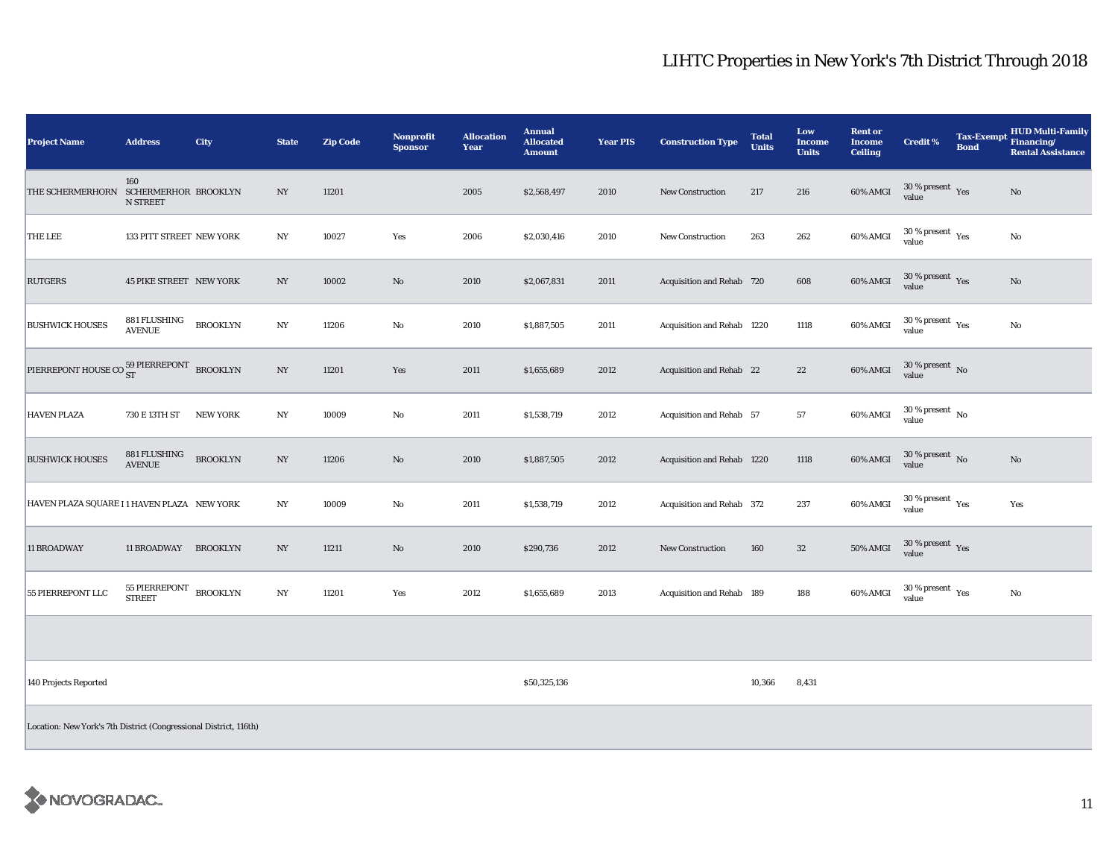| <b>Project Name</b>                                               | <b>Address</b>                          | City            | <b>State</b>     | <b>Zip Code</b> | <b>Nonprofit</b><br><b>Sponsor</b> | <b>Allocation</b><br>Year | <b>Annual</b><br><b>Allocated</b><br><b>Amount</b> | <b>Year PIS</b> | <b>Construction Type</b>   | <b>Total</b><br><b>Units</b> | Low<br><b>Income</b><br><b>Units</b> | <b>Rent or</b><br><b>Income</b><br><b>Ceiling</b> | <b>Credit %</b>                                | <b>Bond</b> | <b>HUD Multi-Family</b><br>Tax-Exempt Financing/<br><b>Rental Assistance</b> |
|-------------------------------------------------------------------|-----------------------------------------|-----------------|------------------|-----------------|------------------------------------|---------------------------|----------------------------------------------------|-----------------|----------------------------|------------------------------|--------------------------------------|---------------------------------------------------|------------------------------------------------|-------------|------------------------------------------------------------------------------|
| THE SCHERMERHORN SCHERMERHOR BROOKLYN                             | 160<br>N STREET                         |                 | NY               | 11201           |                                    | 2005                      | \$2,568,497                                        | 2010            | <b>New Construction</b>    | 217                          | 216                                  | 60% AMGI                                          | $30\,\%$ present $\,$ Yes value                |             | No                                                                           |
| <b>THE LEE</b>                                                    | 133 PITT STREET NEW YORK                |                 | NY               | 10027           | Yes                                | 2006                      | \$2,030,416                                        | 2010            | New Construction           | 263                          | 262                                  | 60% AMGI                                          | $30\,\%$ present $\rm\thinspace\,Yes$<br>value |             | No                                                                           |
| <b>RUTGERS</b>                                                    | <b>45 PIKE STREET NEW YORK</b>          |                 | $_{\mathrm{NY}}$ | 10002           | $\mathbf{No}$                      | 2010                      | \$2,067,831                                        | 2011            | Acquisition and Rehab 720  |                              | 608                                  | 60% AMGI                                          | 30 % present Yes<br>value                      |             | No                                                                           |
| <b>BUSHWICK HOUSES</b>                                            | 881 FLUSHING<br><b>AVENUE</b>           | <b>BROOKLYN</b> | $_{\mathrm{NY}}$ | 11206           | $\rm No$                           | 2010                      | \$1,887,505                                        | 2011            | Acquisition and Rehab 1220 |                              | 1118                                 | 60% AMGI                                          | $30\,\%$ present $\,$ Yes value                |             | $\rm No$                                                                     |
| PIERREPONT HOUSE CO $_{\rm ST}^{59\text{ PIERREPONT}}$ BROOKLYN   |                                         |                 | NY               | 11201           | Yes                                | 2011                      | \$1,655,689                                        | 2012            | Acquisition and Rehab 22   |                              | $22\,$                               | 60% AMGI                                          | $30\,\%$ present $\,$ No $\,$<br>value         |             |                                                                              |
| <b>HAVEN PLAZA</b>                                                | 730 E 13TH ST                           | <b>NEW YORK</b> | NY               | 10009           | $\rm No$                           | 2011                      | \$1,538,719                                        | 2012            | Acquisition and Rehab 57   |                              | 57                                   | 60% AMGI                                          | $30\,\%$ present $\,$ No value                 |             |                                                                              |
| <b>BUSHWICK HOUSES</b>                                            | 881 FLUSHING<br><b>AVENUE</b>           | <b>BROOKLYN</b> | NY               | 11206           | $\mathbf{N}\mathbf{o}$             | 2010                      | \$1,887,505                                        | 2012            | Acquisition and Rehab 1220 |                              | 1118                                 | 60% AMGI                                          | $30$ % present $\,$ No $\,$<br>value           |             | No                                                                           |
| HAVEN PLAZA SQUARE I 1 HAVEN PLAZA NEW YORK                       |                                         |                 | NY               | 10009           | No                                 | 2011                      | \$1,538,719                                        | 2012            | Acquisition and Rehab 372  |                              | 237                                  | 60% AMGI                                          | $30$ % present $\,$ $\rm Yes$<br>value         |             | Yes                                                                          |
| 11 BROADWAY                                                       | 11 BROADWAY BROOKLYN                    |                 | NY               | 11211           | $\mathbf{No}$                      | 2010                      | \$290,736                                          | 2012            | New Construction           | 160                          | $32\,$                               | $50\%$ AMGI                                       | $30\,\%$ present $\,$ Yes value                |             |                                                                              |
| 55 PIERREPONT LLC                                                 | 55 PIERREPONT BROOKLYN<br><b>STREET</b> |                 | $_{\mathrm{NY}}$ | 11201           | Yes                                | 2012                      | \$1,655,689                                        | 2013            | Acquisition and Rehab 189  |                              | 188                                  | 60% AMGI                                          | $30\,\%$ present $\,$ $\rm Yes$<br>value       |             | No                                                                           |
|                                                                   |                                         |                 |                  |                 |                                    |                           |                                                    |                 |                            |                              |                                      |                                                   |                                                |             |                                                                              |
| 140 Projects Reported                                             |                                         |                 |                  |                 |                                    |                           | \$50,325,136                                       |                 |                            | 10,366                       | 8,431                                |                                                   |                                                |             |                                                                              |
| Location: New York's 7th District (Congressional District, 116th) |                                         |                 |                  |                 |                                    |                           |                                                    |                 |                            |                              |                                      |                                                   |                                                |             |                                                                              |